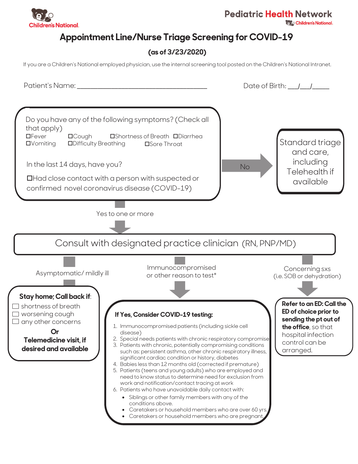

**Children's National.** 

### **Appointment Line/Nurse Triage Screening for COVID-19**

#### (as of 3/23/2020)

If you are a Children's National employed physician, use the internal screening tool posted on the Children's National Intranet.

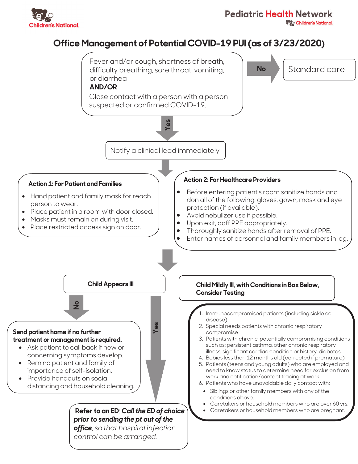

#### **Pediatric Health Network**

**Children's National.** 

## **211** Office Management of Potential COVID-19 PUI (as of 3/23/2020)

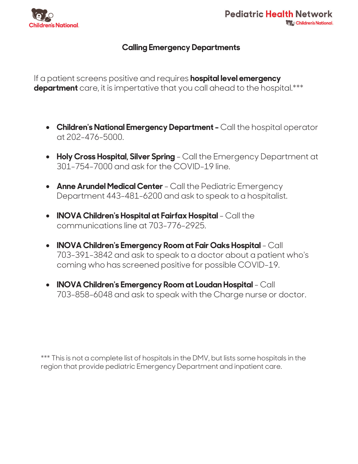

#### **Calling Emergency Departments**

If a patient screens positive and requires hospital level emergency department care, it is impertative that you call ahead to the hospital.\*\*\*

- Children's National Emergency Department Call the hospital operator  $\alpha$ t 202–476–5000.
- Holy Cross Hospital, Silver Spring Call the Emergency Department at 301-754-7000 and ask for the COVID-19 line.
- Anne Arundel Medical Center Call the Pediatric Emergency Department 443-481-6200 and ask to speak to a hospitalist.
- INOVA Children's Hospital at Fairfax Hospital Call the communications line at 703-776-2925.
- INOVA Children's Emergency Room at Fair Oaks Hospital Call 703-391-3842 and ask to speak to a doctor about a patient who's coming who has screened positive for possible COVID-19.
- INOVA Children's Emergency Room at Loudan Hospital Call 703-858-6048 and ask to speak with the Charge nurse or doctor.

\*\*\* This is not a complete list of hospitals in the DMV, but lists some hospitals in the region that provide pediatric Emergency Department and inpatient care.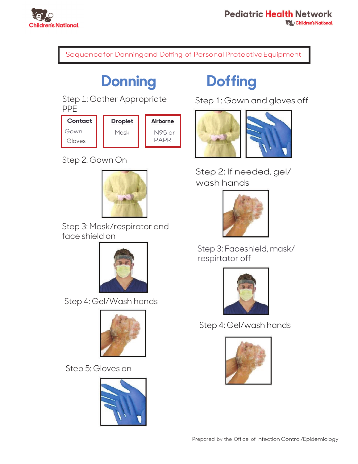

Sequencefor Donningand Doffing of Personal Protective Equipment

## **Donning**

Step 1: Gather Appropriate **PPF** 

Contact **Droplet** Airborne Gown Mask N95 or **PAPR** Gloves

Step 2: Gown On



Step 3: Mask/respirator and face shield on



Step 4: Gel/Wash hands



Step 5: Gloves on



# **Doffing**

Step 1: Gown and gloves off



Step 2: If needed, gel/ wash hands



Step 3: Faceshield, mask/ respirtator off



Step 4: Gel/wash hands

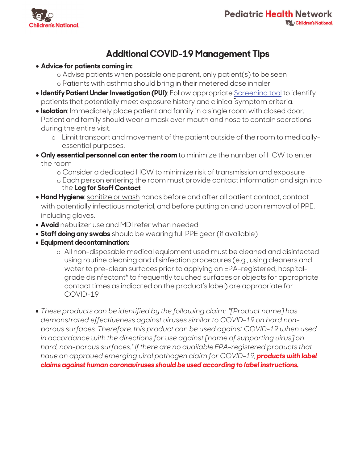

### **Additional COVID-19 Management Tips**

#### • Advice for patients coming in:

- o Advise patients when possible one parent, only patient(s) to be seen
- o Patients with asthma should bring in their metered dose inhaler
- Identify Patient Under Investigation (PUI): Follow appropriate Screening tool to identify patients that potentially meet exposure history and clinical symptom criteria.
- . Isolation: Immediately place patient and family in a single room with closed door. Patient and family should wear a mask over mouth and nose to contain secretions during the entire visit.
	- o Limit transport and movement of the patient outside of the room to medicallyessential purposes.
- . Only essential personnel can enter the room to minimize the number of HCW to enter the room
	- o Consider a dedicated HCW to minimize risk of transmission and exposure
	- o Each person entering the room must provide contact information and sign into the Log for Staff Contact
- . Hand Hygiene: sanitize or wash hands before and after all patient contact, contact with potentially infectious material, and before putting on and upon removal of PPE, including gloves.
- Avoid nebulizer use and MDI refer when needed
- Staff doing any swabs should be wearing full PPE gear (if available)
- Equipment decontamination:
	- o All non-disposable medical equipment used must be cleaned and disinfected using routine cleaning and disinfection procedures (e.g., using cleaners and water to pre-clean surfaces prior to applying an EPA-registered, hospitalgrade disinfectant\* to frequently touched surfaces or objects for appropriate contact times as indicated on the product's label) are appropriate for COVID-19
- $\bullet$  These products can be identified by the following claim: "[Product name] has demonstrated effectiveness against viruses similar to COVID-19 on hard nonporous surfaces. Therefore, this product can be used against COVID-19 when used in accordance with the directions for use against [name of supporting virus] on hard, non-porous surfaces." If there are no available EPA-registered products that have an approved emerging viral pathogen claim for COVID-19, products with label claims against human coronaviruses should be used according to label instructions.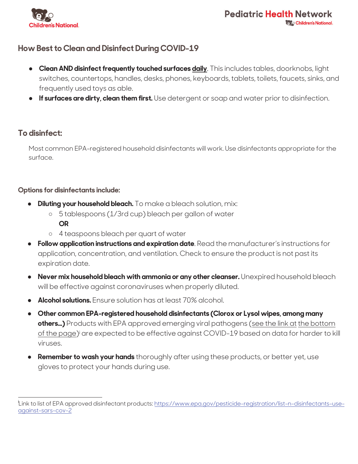

#### **How Best to Clean and Disinfect During COVID-19**

- Clean AND disinfect frequently touched surfaces daily. This includes tables, doorknobs, light switches, countertops, handles, desks, phones, keyboards, tablets, toilets, faucets, sinks, and frequently used toys as able.
- If surfaces are dirty, clean them first. Use detergent or soap and water prior to disinfection.

#### To disinfect:

Most common EPA-registered household disinfectants will work. Use disinfectants appropriate for the surface.

#### **Options for disinfectants include:**

- **Diluting your household bleach.** To make a bleach solution, mix:
	- o 5 tablespoons (1/3rd cup) bleach per gallon of water **OR**
	- o 4 teaspoons bleach per quart of water
- Follow application instructions and expiration date. Read the manufacturer's instructions for application, concentration, and ventilation. Check to ensure the product is not past its expiration date.
- Never mix household bleach with ammonia or any other cleanser. Unexpired household bleach will be effective against coronaviruses when properly diluted.
- Alcohol solutions. Ensure solution has at least 70% alcohol.
- Other common EPA-registered household disinfectants (Clorox or Lysol wipes, among many  $\bullet$ others...) Products with EPA approved emerging viral pathogens (see the link at the bottom of the page) are expected to be effective against COVID-19 based on data for harder to kill viruses.
- **Remember to wash your hands** thoroughly after using these products, or better yet, use  $\bullet$ gloves to protect your hands during use.

Link to list of EPA approved disinfectant products: https://www.epa.gov/pesticide-registration/list-n-disinfectants-useagainst-sars-cov-2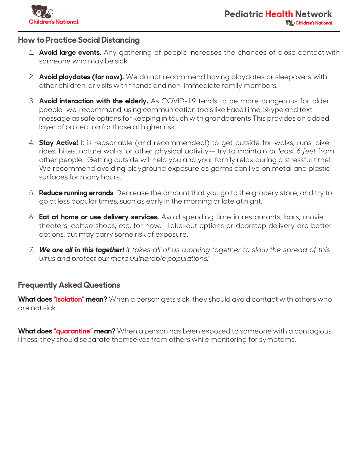

#### **How to Practice Social Distancing**

- 1. **Avoid large events.** Any gathering of people increases the chances of close contact with someone who may be sick.
- 2. **Avoid playdates (for now).** We do not recommend having playdates or sleepovers with other children, or visits with friends and non-immediate family members.
- 3. **Avoid interaction with the elderly.** As COVID-19 tends to be more dangerous for older people, we recommend using communication tools like FaceTime, Skype and text message as safe options for keeping in touch with grandparents This provides an added layer of protection for those at higher risk.
- 4. **Stay Active!** It is reasonable (and recommended!) to get outside for walks, runs, bike rides, hikes, nature walks, or other physical activity-- try to maintain at least 6 feet from other people. Getting outside will help you and your family relax during a stressful time! We recommend avoiding playground exposure as germs can live on metal and plastic surfaces for many hours.
- 5. **Reduce running errands**. Decrease the amount that you go to the grocery store, and try to go at less popular times, such as early in the morning or late at night.
- 6. **Eat at home or use delivery services.** Avoid spending time in restaurants, bars, movie theaters, coffee shops, etc. for now. Take-out options or doorstep delivery are better options, but may carry some risk of exposure.
- 7. We are all in this together! It takes all of us working together to slow the spread of this *virus and protect our more vulnerable populations!*

#### **Frequently Asked Questions**

**What does "isolation" mean?** When a person gets sick, they should avoid contact with others who are not sick

**What does "quarantine" mean?** When a person has been exposed to someone with a contagious illness, they should separate themselves from others while monitoring for symptoms.